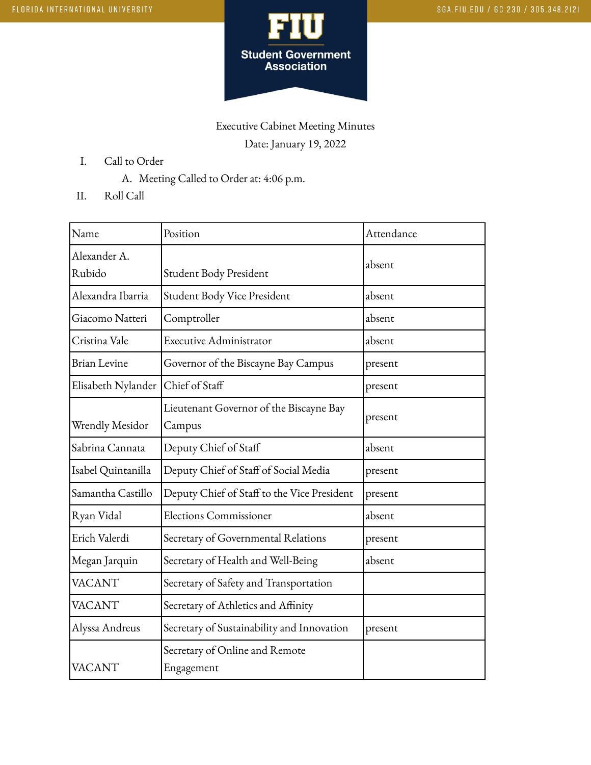

## Executive Cabinet Meeting Minutes Date: January 19, 2022

- I. Call to Order
	- A. Meeting Called to Order at: 4:06 p.m.
- II. Roll Call

| Name                   | Position                                          | Attendance |
|------------------------|---------------------------------------------------|------------|
| Alexander A.<br>Rubido | Student Body President                            | absent     |
| Alexandra Ibarria      | Student Body Vice President                       | absent     |
| Giacomo Natteri        | Comptroller                                       | absent     |
| Cristina Vale          | Executive Administrator                           | absent     |
| <b>Brian Levine</b>    | Governor of the Biscayne Bay Campus               | present    |
| Elisabeth Nylander     | Chief of Staff                                    | present    |
| Wrendly Mesidor        | Lieutenant Governor of the Biscayne Bay<br>Campus | present    |
| Sabrina Cannata        | Deputy Chief of Staff                             | absent     |
| Isabel Quintanilla     | Deputy Chief of Staff of Social Media             | present    |
| Samantha Castillo      | Deputy Chief of Staff to the Vice President       | present    |
| Ryan Vidal             | <b>Elections Commissioner</b>                     | absent     |
| Erich Valerdi          | Secretary of Governmental Relations               | present    |
| Megan Jarquin          | Secretary of Health and Well-Being                | absent     |
| <b>VACANT</b>          | Secretary of Safety and Transportation            |            |
| <b>VACANT</b>          | Secretary of Athletics and Affinity               |            |
| Alyssa Andreus         | Secretary of Sustainability and Innovation        | present    |
| <b>VACANT</b>          | Secretary of Online and Remote<br>Engagement      |            |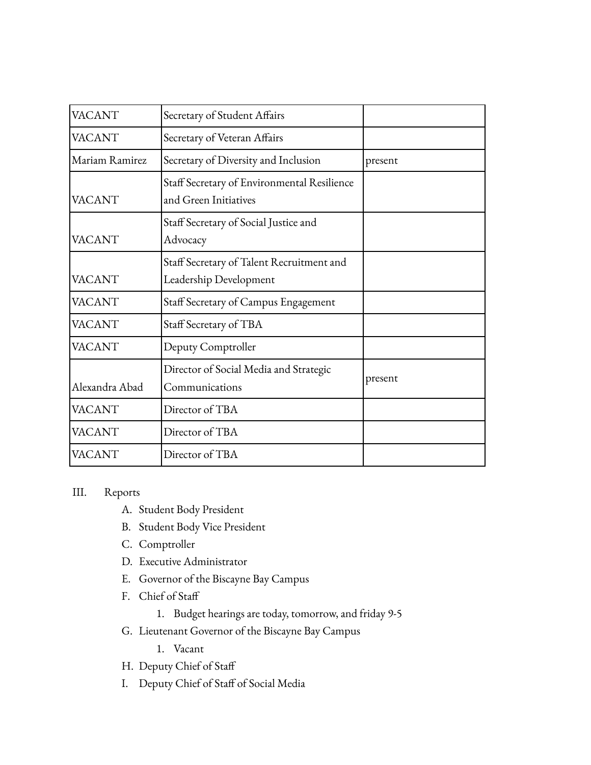| <b>VACANT</b>  | Secretary of Student Affairs                                         |         |
|----------------|----------------------------------------------------------------------|---------|
| <b>VACANT</b>  | Secretary of Veteran Affairs                                         |         |
| Mariam Ramirez | Secretary of Diversity and Inclusion                                 | present |
| <b>VACANT</b>  | Staff Secretary of Environmental Resilience<br>and Green Initiatives |         |
| <b>VACANT</b>  | Staff Secretary of Social Justice and<br>Advocacy                    |         |
| <b>VACANT</b>  | Staff Secretary of Talent Recruitment and<br>Leadership Development  |         |
| <b>VACANT</b>  | Staff Secretary of Campus Engagement                                 |         |
| <b>VACANT</b>  | Staff Secretary of TBA                                               |         |
| <b>VACANT</b>  | Deputy Comptroller                                                   |         |
| Alexandra Abad | Director of Social Media and Strategic<br>Communications             | present |
| <b>VACANT</b>  | Director of TBA                                                      |         |
| <b>VACANT</b>  | Director of TBA                                                      |         |
| <b>VACANT</b>  | Director of TBA                                                      |         |

## III. Reports

- A. Student Body President
- B. Student Body Vice President
- C. Comptroller
- D. Executive Administrator
- E. Governor of the Biscayne Bay Campus
- F. Chief of Staff
	- 1. Budget hearings are today, tomorrow, and friday 9-5
- G. Lieutenant Governor of the Biscayne Bay Campus
	- 1. Vacant
- H. Deputy Chief of Staff
- I. Deputy Chief of Staff of Social Media